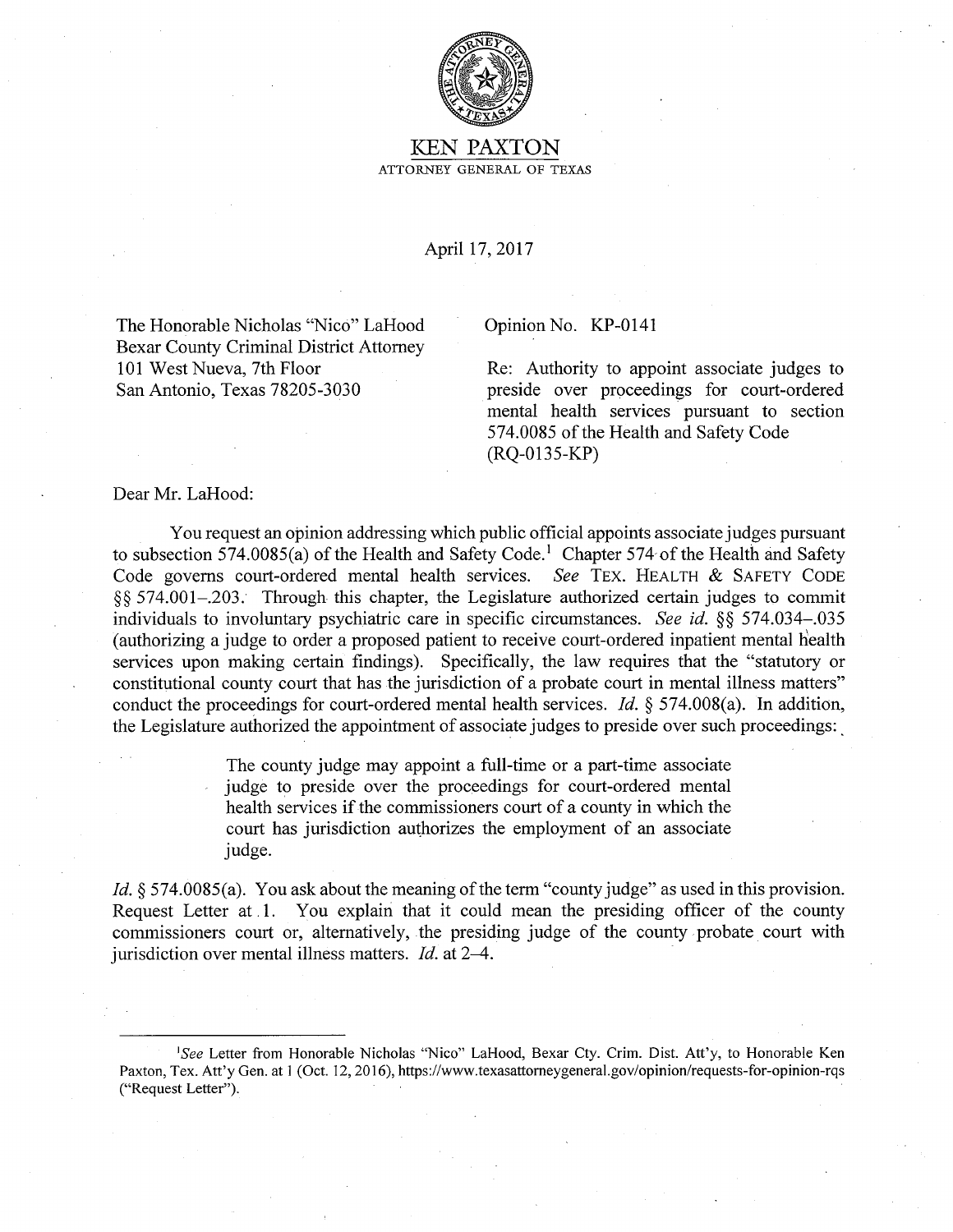

## KEN PAXTON ATTORNEY GENERAL OF TEXAS

April 17, 2017

The Honorable Nicholas "Nico" LaHood Bexar County Criminal District Attorney 101 West Nueva, 7th Floor San Antonio, Texas 78205-3030

Opinion No. KP-0141

Re: Authority to appoint associate judges to preside over proceedings for court-ordered mental health services pursuant to section 574.0085 of the Health and Safety Code (RQ-0135-KP)

Dear Mr. LaHood:

You request an opinion addressing which public official appoints associate judges pursuant to subsection 574.0085(a) of the Health and Safety Code.<sup>1</sup> Chapter 574 of the Health and Safety Code governs court-ordered mental health services. *See* TEX. HEALTH & SAFETY CODE §§ 574.001-.203. Through this chapter, the Legislature authorized certain judges to commit individuals to involuntary psychiatric care in specific circumstances. *See id.* §§ 574.034-.035 (authorizing a judge to order a proposed patient to receive court-ordered inpatient mental Health services upon making certain findings). Specifically, the law requires that the "statutory or constitutional county court that has the jurisdiction of a probate court in mental illness matters" conduct the proceedings for court-ordered mental health services. *Id.* § 574.008(a). In addition, the Legislature authorized the appointment of associate judges to preside over such proceedings: .

> The county judge may appoint a full-time or a part-time associate judge to preside over the proceedings for court-ordered mental health services if the commissioners court of a county in which the court has jurisdiction authorizes the employment of an associate judge.

*Id.* § 574.0085(a). You ask about the meaning of the term "county judge" as used in this provision. Request Letter at 1. You explain that it could mean the presiding officer of the county commissioners court or, alternatively, the presiding judge of the county. probate court with jurisdiction over mental illness matters. *Id.* at 2-4.

<sup>&</sup>lt;sup>1</sup>See Letter from Honorable Nicholas "Nico" LaHood, Bexar Cty. Crim. Dist. Att'y, to Honorable Ken Paxton, Tex. Att'y Gen. at 1 (Oct. 12, 2016), https://www.texasattomeygeneral.gov/opinion/requests-for-opinion-rqs ("Request Letter").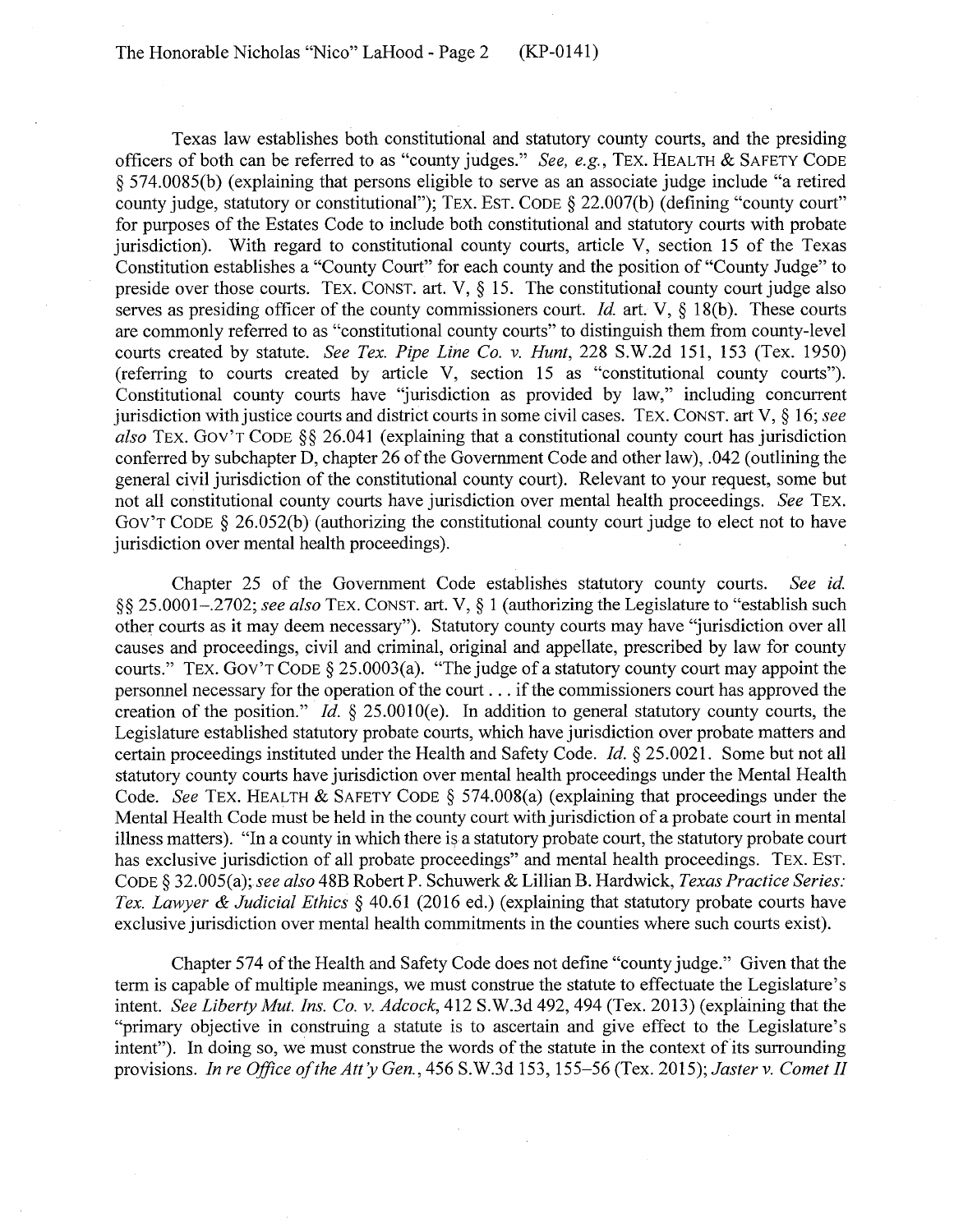Texas law establishes both constitutional and statutory county courts, and the presiding officers of both can be referred to as "county judges." *See, e.g.*, TEX. HEALTH & SAFETY CODE § 574.0085(b) (explaining that persons eligible to serve as an associate judge include "a retired county judge, statutory or constitutional"); TEX. EST. CODE§ 22.007(b) (defining "county court" for purposes of the Estates Code to include both constitutional and statutory courts with probate jurisdiction). With regard to constitutional county courts, article V, section 15 of the Texas Constitution establishes a "County Court" for each county and the position of "County Judge" to preside over those courts. TEX. CONST. art. V, § 15. The constitutional county court judge also serves as presiding officer of the county commissioners court. *Id.* art. V, § 18(b). These courts are commonly referred to as "constitutional county courts" to distinguish them from county-level courts created by statute. *See Tex. Pipe Line Co. v. Hunt,* 228 S.W.2d 151, 153 (Tex. 1950) (referring to courts created by article V, section 15 as "constitutional county courts"). Constitutional county courts have "jurisdiction as provided by law," including concurrent jurisdiction with justice courts and district courts in some civil cases. TEX. CONST. art V, § 16; *see also* TEX. Gov'T CODE §§ 26.041 (explaining that a constitutional county court has jurisdiction conferred by subchapter D, chapter 26 of the Government Code and other law), .042 (outlining the general civil jurisdiction of the constitutional county court). Relevant to your request, some but not all constitutional county courts have jurisdiction over mental health proceedings. *See* TEX. Gov'T CODE § 26.052(b) (authorizing the constitutional county court judge to elect not to have jurisdiction over mental health proceedings).

Chapter 25 of the Government Code establishes statutory county courts. *See id.*  §§ 25.0001-.2702; *see also* TEX. CONST. art. V, § 1 (authorizing the Legislature to "establish such other courts as it may deem necessary"). Statutory county courts may have "jurisdiction over all causes and proceedings, civil and criminal, original and appellate, prescribed by law for county courts." TEX. Gov'T CODE § 25.0003(a). "The judge of a statutory county court may appoint the personnel necessary for the operation of the court ... if the commissioners court has approved the creation of the position." *Id.* § 25.0010(e). In addition to general statutory county courts, the Legislature established statutory probate courts, which have jurisdiction over probate matters and certain proceedings instituted under the Health and Safety Code. *Id.* § 25. 0021. Some but not all statutory county courts have jurisdiction over mental health proceedings under the Mental Health Code. *See* TEX. HEALTH & SAFETY CODE § 574.008(a) (explaining that proceedings under the Mental Health Code must be held in the county court with jurisdiction of a probate court in mental illness matters). "In a county in which there is a statutory probate court, the statutory probate court has exclusive jurisdiction of all probate proceedings" and mental health proceedings. TEX. EST. CODE § 32.005( a); *see also* 48B Robert P. Schuwerk & Lillian B. Hardwick, *Texas Practice Series: Tex. Lawyer* & *Judicial Ethics* § 40.61 (2016 ed.) (explaining that statutory probate courts have exclusive jurisdiction over mental health commitments in the counties where such courts exist).

Chapter 574 of the Health and Safety Code does not define "county judge." Given that the term is capable of multiple meanings, we must construe the statute to effectuate the Legislature's intent. *See Liberty Mut. Ins. Co. v. Adcock,* 412 S.W.3d 492, 494 (Tex. 2013) (explaining that the "primary objective in construing a statute is to ascertain and give effect to the Legislature's intent"). In doing so, we must construe the words of the statute in the context of its surrounding provisions. *In re Office of the Att'y Gen.,* 456 S.W.3d 153, 155-56 (Tex. 2015); *Jaster v. Comet II*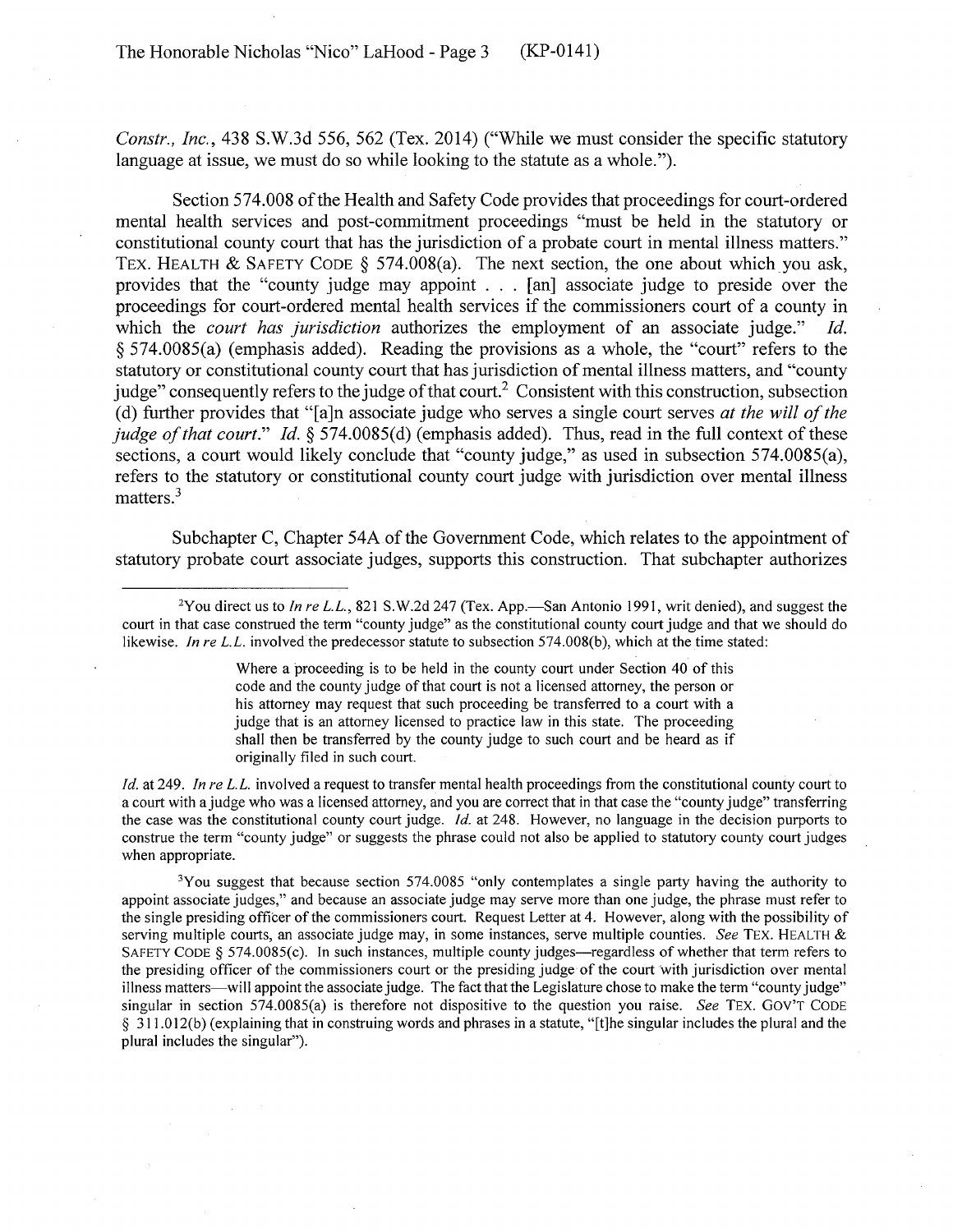*Constr., Inc.,* 438 S.W.3d 556, 562 (Tex. 2014) ("While we must consider the specific statutory language at issue, we must do so while looking to the statute as a whole.").

Section 574.008 of the Health and Safety Code provides that proceedings for court-ordered mental health services and post-commitment proceedings "must be held in the statutory or constitutional county court that has the jurisdiction of a probate court in mental illness matters." TEX. HEALTH & SAFETY CODE  $\S$  574.008(a). The next section, the one about which you ask, provides that the "county judge may appoint ... [an] associate judge to preside over the proceedings for court-ordered mental health services if the commissioners court of a county in which the *court has jurisdiction* authorizes the employment of an associate judge." *Id.* § 574.0085(a) (emphasis added). Reading the provisions as a whole, the "court" refers to the statutory or constitutional county court that has jurisdiction of mental illness matters, and "county judge" consequently refers to the judge of that court.<sup>2</sup> Consistent with this construction, subsection ( d) further provides that "[a ]n associate judge who serves a single court serves *at the will of the judge of that court.*" *Id.* § 574.0085(d) (emphasis added). Thus, read in the full context of these sections, a court would likely conclude that "county judge," as used in subsection 574.0085(a), refers to the statutory or constitutional county court judge with jurisdiction over mental illness matters.<sup>3</sup>

Subchapter C, Chapter 54A of the Government Code, which relates to the appointment of statutory probate court associate judges, supports this construction. That subchapter authorizes

Where a proceeding is to be held in the county court under Section 40 of this code and the county judge of that court is not a licensed attorney, the person or his attorney may request that such proceeding be transferred to a court with a judge that is an attorney licensed to practice law in this state. The proceeding shall then be transferred by the county judge to such court and be heard as if originally filed in such court.

*Id.* at 249. *In re L.L.* involved a request to transfer mental health proceedings from the constitutional county court to a court with a judge who was a licensed attorney, and you are correct that in that case the "county judge" transferring the case was the constitutional county court judge. *Id.* at 248. However, no language in the decision purports to construe the term "county judge" or suggests the phrase could not also be applied to statutory county court judges when appropriate.

<sup>3</sup>You suggest that because section 574.0085 "only contemplates a single party having the authority to appoint associate judges," and because an associate judge may serve more than one judge, the phrase must refer to the single presiding officer of the commissioners court. Request Letter at 4. However, along with the possibility of serving multiple courts, an associate judge may, in some instances, serve multiple counties. *See* TEX. HEALTH & SAFETY CODE § 574.0085(c). In such instances, multiple county judges—regardless of whether that term refers to the presiding officer of the commissioners court or the presiding judge of the court With jurisdiction over mental illness matters—will appoint the associate judge. The fact that the Legislature chose to make the term "county judge" singular in section 574.0085(a) is therefore not dispositive to the question you raise. *See* TEX. Gov'T CODE § 311.012(b) (explaining that in construing words and phrases in a statute, "[t]he singular includes the plural and the plural includes the singular").

<sup>&</sup>lt;sup>2</sup>You direct us to *In re L.L.*, 821 S.W.2d 247 (Tex. App.—San Antonio 1991, writ denied), and suggest the court in that case construed the term "county judge" as the constitutional county court judge and that we should do likewise. *In re L.L.* involved the predecessor statute to subsection 574.008(b), which at the time stated: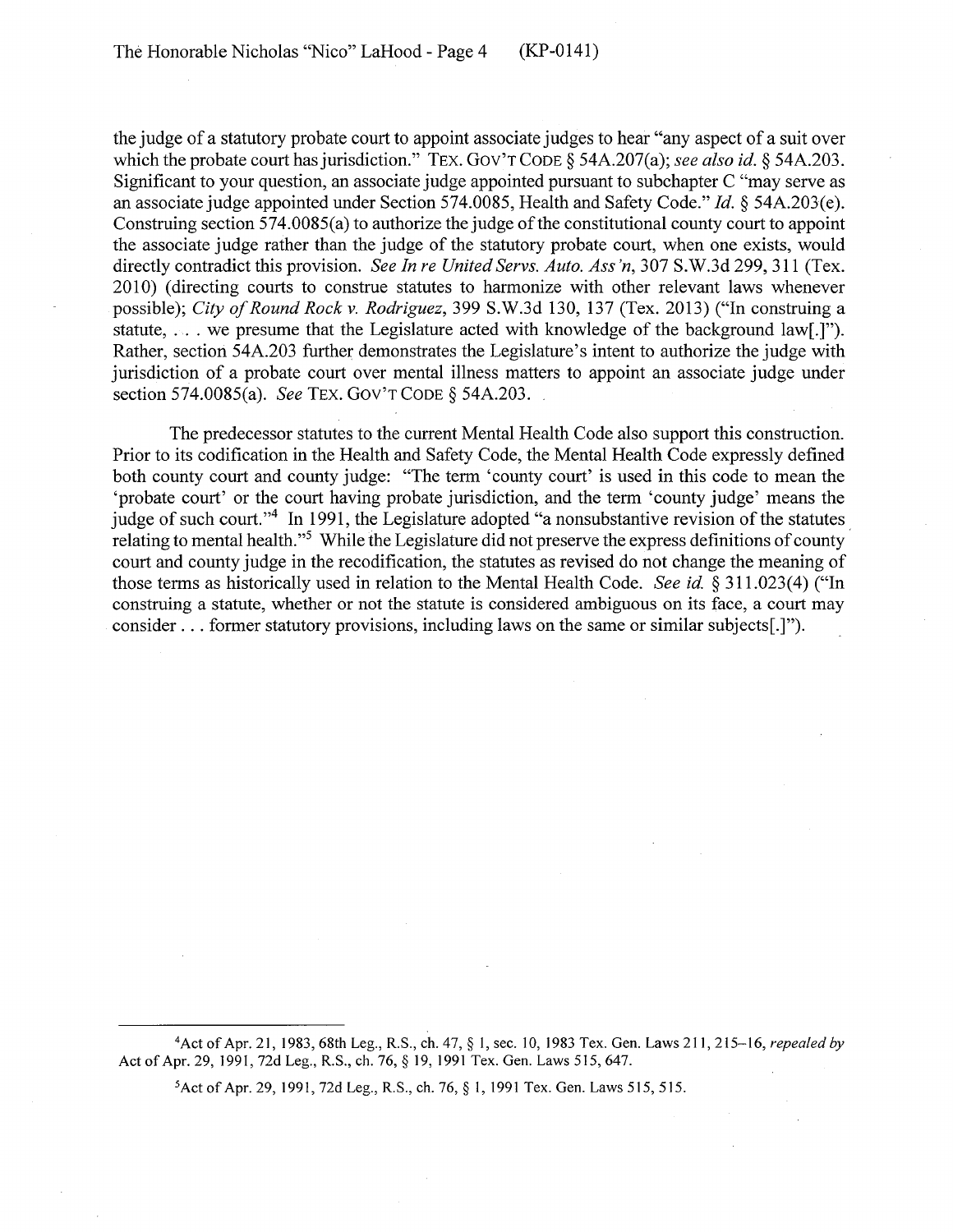the judge of a statutory probate court to appoint associate judges to hear "any aspect of a suit over which the probate court has jurisdiction." TEX. Gov'T CODE§ 54A.207(a); *see also id.§* 54A.203. Significant to your question, an associate judge appointed pursuant to subchapter C "may serve as an associate judge appointed under Section 574.0085, Health and Safety Code." *Id.§* 54A.203(e). Construing section 574.0085(a) to authorize the judge of the constitutional county court to appoint the associate judge rather than the judge of the statutory probate court, when one exists, would directly contradict this provision. *See In re United Servs. Auto. Ass 'n,* 307 S.W.3d 299, 311 (Tex. 2010) (directing courts to construe statutes to harmonize with other relevant laws whenever possible); *City of Round Rock v. Rodriguez,* 399 S.W.3d 130, 137 (Tex. 2013) ("In construing a statute, ... we presume that the Legislature acted with knowledge of the background law[.]"). Rather, section 54A.203 further demonstrates the Legislature's intent to authorize the judge with jurisdiction of a probate court over mental illness matters to appoint an associate judge under section 574.0085(a). *See* TEX. Gov'T CODE § 54A.203.

The predecessor statutes to the current Mental Health Code also support this construction. Prior to its codification in the Health and Safety Code, the Mental Health Code expressly defined both county court and county judge: "The term 'county court' is used in this code to mean the 'probate court' or the court having probate jurisdiction, and the term 'county judge' means the judge of such court."4 In 1991, the Legislature adopted "a nonsubstantive revision of the statutes relating to mental health."<sup>5</sup> While the Legislature did not preserve the express definitions of county court and county judge in the recodification, the statutes as revised do not change the meaning of those terms as historically used in relation to the Mental Health Code. *See id.* § 311.023(4) ("In construing a statute, whether or not the statute is considered ambiguous on its face, a court may consider ... former statutory provisions, including laws on the same or similar subjects[.]").

4 Act of Apr. 21, 1983, 68th Leg., R.S., ch. 47, § 1, sec. 10, 1983 Tex. Gen. Laws 211, 215-16, *repealed by*  Act of Apr. 29, 1991, 72d Leg., R.S., ch. 76, § 19, 1991 Tex. Gen. Laws 515, 647.

5 Act of Apr. 29, 1991, 72d Leg., R.S., ch. 76, § 1, 1991 Tex. Gen. Laws 515, 515.